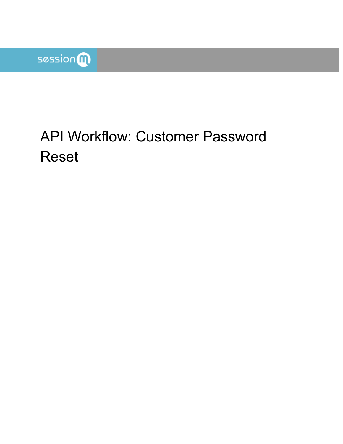

# API Workflow: Customer Password Reset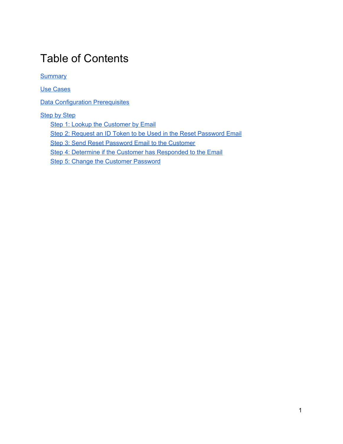### Table of Contents

**[Summary](#page-2-0)** 

Use [Cases](#page-2-1)

**Data [Configuration](#page-2-2) Prerequisites** 

#### **[Step](#page-3-0) by Step**

Step 1: Lookup the [Customer](#page-4-0) by Email

Step 2: Request an ID Token to be Used in the Reset [Password](#page-5-0) Email

Step 3: Send Reset [Password](#page-6-0) Email to the Customer

Step 4: Determine if the Customer has [Responded](#page-6-1) to the Email

Step 5: Change the [Customer](#page-6-2) Password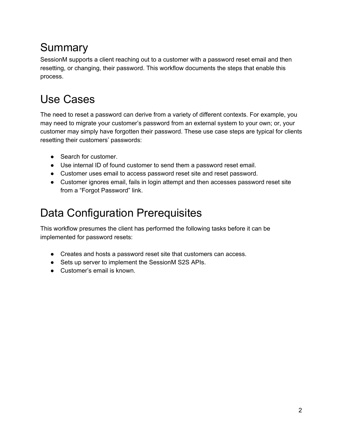## <span id="page-2-0"></span>Summary

SessionM supports a client reaching out to a customer with a password reset email and then resetting, or changing, their password. This workflow documents the steps that enable this process.

## <span id="page-2-1"></span>Use Cases

The need to reset a password can derive from a variety of different contexts. For example, you may need to migrate your customer's password from an external system to your own; or, your customer may simply have forgotten their password. These use case steps are typical for clients resetting their customers' passwords:

- Search for customer.
- Use internal ID of found customer to send them a password reset email.
- Customer uses email to access password reset site and reset password.
- Customer ignores email, fails in login attempt and then accesses password reset site from a "Forgot Password" link.

### <span id="page-2-2"></span>Data Configuration Prerequisites

This workflow presumes the client has performed the following tasks before it can be implemented for password resets:

- Creates and hosts a password reset site that customers can access.
- Sets up server to implement the SessionM S2S APIs.
- Customer's email is known.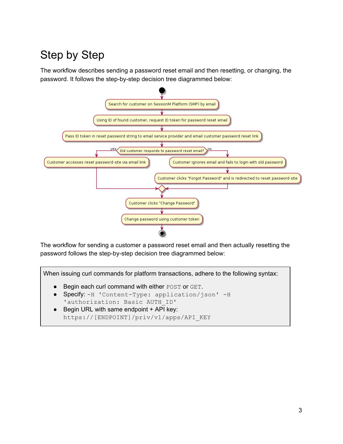## <span id="page-3-0"></span>Step by Step

The workflow describes sending a password reset email and then resetting, or changing, the password. It follows the step-by-step decision tree diagrammed below:



The workflow for sending a customer a password reset email and then actually resetting the password follows the step-by-step decision tree diagrammed below:

When issuing curl commands for platform transactions, adhere to the following syntax:

- Begin each curl command with either POST or GET.
- Specify: -H 'Content-Type: application/json' -H 'authorization: Basic AUTH\_ID'
- Begin URL with same endpoint + API key: https://[ENDPOINT]/priv/v1/apps/API\_KEY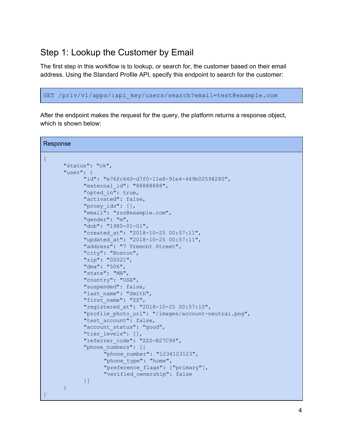#### <span id="page-4-0"></span>Step 1: Lookup the Customer by Email

The first step in this workflow is to lookup, or search for, the customer based on their email address. Using the Standard Profile API, specify this endpoint to search for the customer:

GET /priv/v1/apps/:api\_key/users/search?email=test@example.com

After the endpoint makes the request for the query, the platform returns a response object, which is shown below:

```
Response
{
      "status": "ok",
      "user": {
            "id": "e76fc440-d7f0-11e8-91e4-469b02598280",
            "external_id": "88888888",
            "opted_in": true,
            "activated": false,
            "proxy_ids": [],
            "email": "zzz@example.com",
            "gender": "m",
            "dob": "1980-01-01",
            "created_at": "2018-10-25 00:57:11",
            "updated_at": "2018-10-25 00:57:11",
            "address": "7 Tremont Street",
            "city": "Boston",
            "zip": "02021",
            "dma": "506",
            "state": "MA",
            "country": "USA",
            "suspended": false,
            "last name": "Smith",
            "first name": "ZZ",
            "registered_at": "2018-10-25 00:57:10",
            "profile photo url": "/images/account-neutral.png",
            "test account": false,
            "account status": "good",
            "tier levels": [],
            "referrer_code": "ZZS-B27C94",
            "phone_numbers": [{
                   "phone_number": "1234123123",
                   "phone type": "home",
                   "preference_flags": ["primary"],
                   "verified_ownership": false
            }]
      }
}
```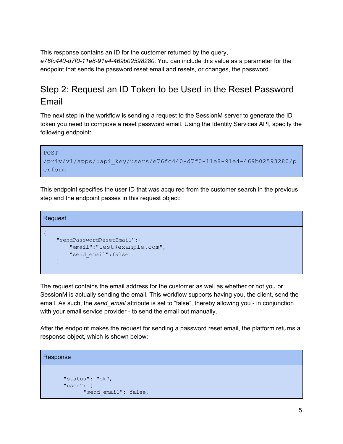This response contains an ID for the customer returned by the query, *e76fc440-d7f0-11e8-91e4-469b02598280*. You can include this value as a parameter for the endpoint that sends the password reset email and resets, or changes, the password.

### <span id="page-5-0"></span>Step 2: Request an ID Token to be Used in the Reset Password Email

The next step in the workflow is sending a request to the SessionM server to generate the ID token you need to compose a reset password email. Using the Identity Services API, specify the following endpoint:

```
POST
/priv/v1/apps/:api_key/users/e76fc440-d7f0-11e8-91e4-469b02598280/p
erform
```
This endpoint specifies the user ID that was acquired from the customer search in the previous step and the endpoint passes in this request object:

```
Request
{
    "sendPasswordResetEmail":{
      "email":"test@example.com",
      "send_email":false
   }
}
```
The request contains the email address for the customer as well as whether or not you or SessionM is actually sending the email. This workflow supports having you, the client, send the email. As such, the *send\_email* attribute is set to "false", thereby allowing you - in conjunction with your email service provider - to send the email out manually.

After the endpoint makes the request for sending a password reset email, the platform returns a response object, which is shown below:

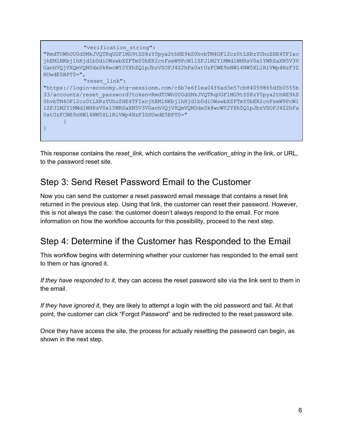

This response contains the *reset\_link*, which contains the *verification\_string* in the link, or URL, to the password reset site.

#### <span id="page-6-0"></span>Step 3: Send Reset Password Email to the Customer

Now you can send the customer a reset password email message that contains a reset link returned in the previous step. Using that link, the customer can reset their password. However, this is not always the case: the customer doesn't always respond to the email. For more information on how the workflow accounts for this possibility, proceed to the next step.

### <span id="page-6-1"></span>Step 4: Determine if the Customer has Responded to the Email

This workflow begins with determining whether your customer has responded to the email sent to them or has ignored it.

*If they have responded to it*, they can access the reset password site via the link sent to them in the email.

*If they have ignored it*, they are likely to attempt a login with the old password and fail. At that point, the customer can click "Forgot Password" and be redirected to the reset password site.

<span id="page-6-2"></span>Once they have access the site, the process for actually resetting the password can begin, as shown in the next step.